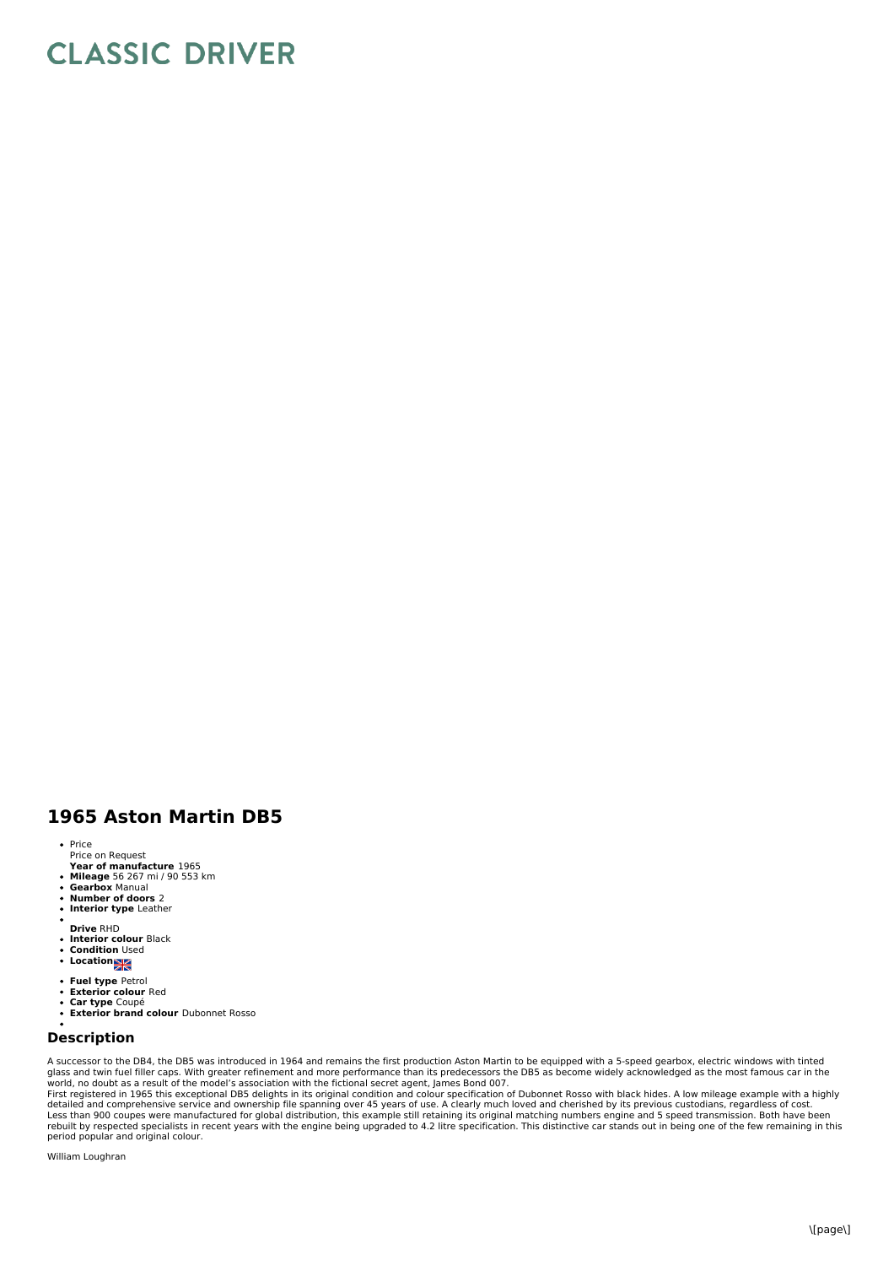## **CLASSIC DRIVER**

## **1965 Aston Martin DB5**

- Price
- Price on Request<br>**Year of manufacture** 1965
- 
- **Mileage** 56 267 mi / 90 553 km **Gearbox** Manual
- $\ddot{\phantom{0}}$ **Number of doors** 2
- $\bullet$ **Interior type** Leather
- **Drive** RHD
- $\ddot{\phantom{a}}$
- **Interior colour** Black **Condition** Used
- **•** Location
- **Fuel type** Petrol
- 
- $\bullet$
- **Exterior colour** Red **Car type** Coupé **Exterior brand colour** Dubonnet Rosso

## **Description**

A successor to the DB4, the DB5 was introduced in 1964 and remains the first production Aston Martin to be equipped with a 5-speed gearbox, electric windows with tinted<br>glass and twin fuel filler caps. With greater refinem world, no doubt as a result of the model's association with the fictional secret agent, James Bond 007.<br>First registered in 1965 this exceptional DB5 delights in its original condition and colour specification of Dubonnet

detailed and comprehensive service and ownership file spanning over 45 years of use. A clearly much loved and cherished by its previous custodians, regardless of cost.<br>Less than 900 coupes were manufactured for global dist rebuilt by respected specialists in recent years with the engine being upgraded to 4.2 litre specification. This distinctive car stands out in being one of the few remaining in this<br>period popular and original colour.

William Loughran